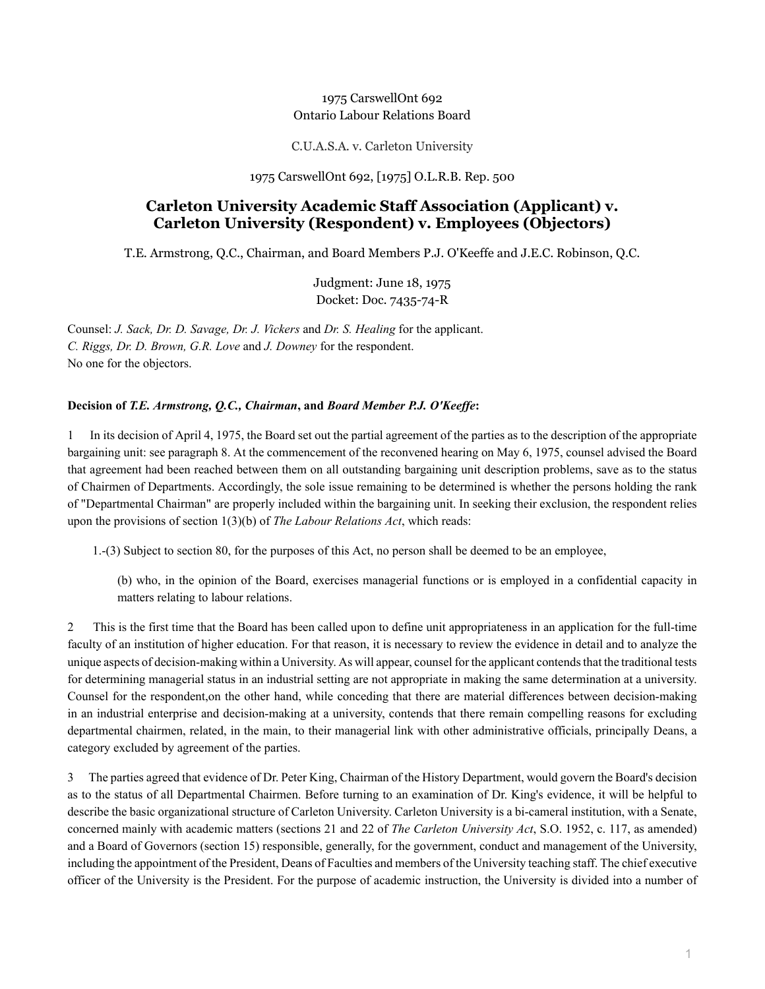# 1975 CarswellOnt 692 Ontario Labour Relations Board

C.U.A.S.A. v. Carleton University

### 1975 CarswellOnt 692, [1975] O.L.R.B. Rep. 500

# **Carleton University Academic Staff Association (Applicant) v. Carleton University (Respondent) v. Employees (Objectors)**

T.E. Armstrong, Q.C., Chairman, and Board Members P.J. O'Keeffe and J.E.C. Robinson, Q.C.

Judgment: June 18, 1975 Docket: Doc. 7435-74-R

Counsel: *J. Sack, Dr. D. Savage, Dr. J. Vickers* and *Dr. S. Healing* for the applicant. *C. Riggs, Dr. D. Brown, G.R. Love* and *J. Downey* for the respondent. No one for the objectors.

# **Decision of** *T.E. Armstrong, Q.C., Chairman***, and** *Board Member P.J. O'Keeffe***:**

1 In its decision of April 4, 1975, the Board set out the partial agreement of the parties as to the description of the appropriate bargaining unit: see paragraph 8. At the commencement of the reconvened hearing on May 6, 1975, counsel advised the Board that agreement had been reached between them on all outstanding bargaining unit description problems, save as to the status of Chairmen of Departments. Accordingly, the sole issue remaining to be determined is whether the persons holding the rank of "Departmental Chairman" are properly included within the bargaining unit. In seeking their exclusion, the respondent relies upon the provisions of section 1(3)(b) of *The Labour Relations Act*, which reads:

1.-(3) Subject to section 80, for the purposes of this Act, no person shall be deemed to be an employee,

(b) who, in the opinion of the Board, exercises managerial functions or is employed in a confidential capacity in matters relating to labour relations.

2 This is the first time that the Board has been called upon to define unit appropriateness in an application for the full-time faculty of an institution of higher education. For that reason, it is necessary to review the evidence in detail and to analyze the unique aspects of decision-making within a University. As will appear, counsel for the applicant contends that the traditional tests for determining managerial status in an industrial setting are not appropriate in making the same determination at a university. Counsel for the respondent,on the other hand, while conceding that there are material differences between decision-making in an industrial enterprise and decision-making at a university, contends that there remain compelling reasons for excluding departmental chairmen, related, in the main, to their managerial link with other administrative officials, principally Deans, a category excluded by agreement of the parties.

3 The parties agreed that evidence of Dr. Peter King, Chairman of the History Department, would govern the Board's decision as to the status of all Departmental Chairmen. Before turning to an examination of Dr. King's evidence, it will be helpful to describe the basic organizational structure of Carleton University. Carleton University is a bi-cameral institution, with a Senate, concerned mainly with academic matters (sections 21 and 22 of *The Carleton University Act*, S.O. 1952, c. 117, as amended) and a Board of Governors (section 15) responsible, generally, for the government, conduct and management of the University, including the appointment of the President, Deans of Faculties and members of the University teaching staff. The chief executive officer of the University is the President. For the purpose of academic instruction, the University is divided into a number of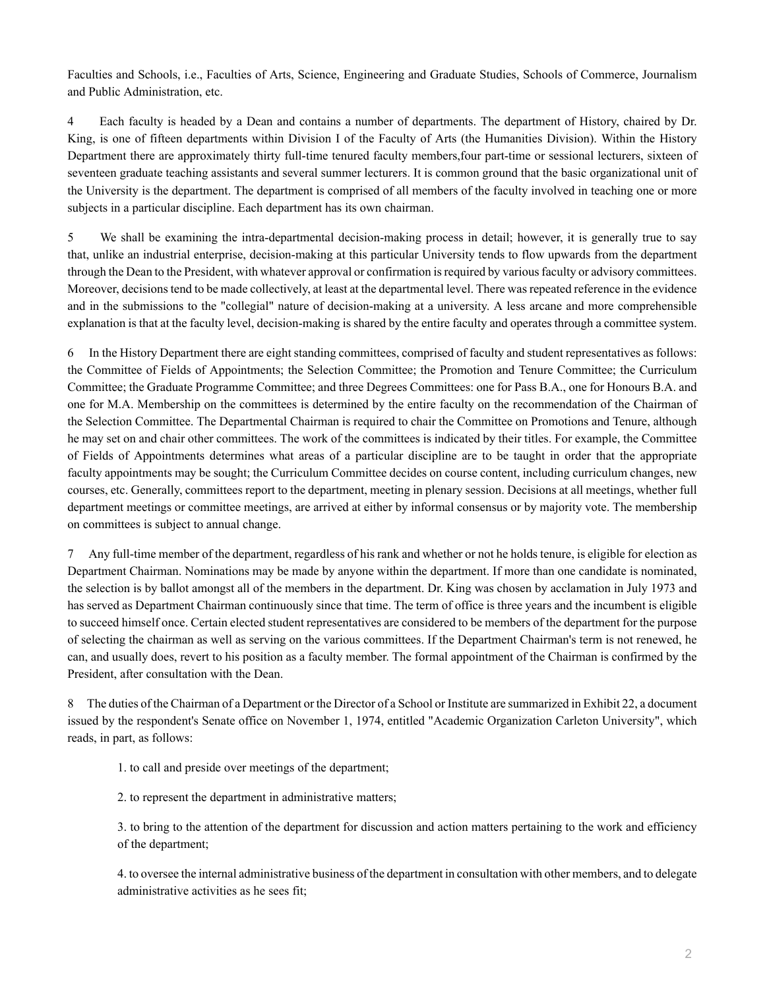Faculties and Schools, i.e., Faculties of Arts, Science, Engineering and Graduate Studies, Schools of Commerce, Journalism and Public Administration, etc.

4 Each faculty is headed by a Dean and contains a number of departments. The department of History, chaired by Dr. King, is one of fifteen departments within Division I of the Faculty of Arts (the Humanities Division). Within the History Department there are approximately thirty full-time tenured faculty members,four part-time or sessional lecturers, sixteen of seventeen graduate teaching assistants and several summer lecturers. It is common ground that the basic organizational unit of the University is the department. The department is comprised of all members of the faculty involved in teaching one or more subjects in a particular discipline. Each department has its own chairman.

5 We shall be examining the intra-departmental decision-making process in detail; however, it is generally true to say that, unlike an industrial enterprise, decision-making at this particular University tends to flow upwards from the department through the Dean to the President, with whatever approval or confirmation is required by various faculty or advisory committees. Moreover, decisions tend to be made collectively, at least at the departmental level. There was repeated reference in the evidence and in the submissions to the "collegial" nature of decision-making at a university. A less arcane and more comprehensible explanation is that at the faculty level, decision-making is shared by the entire faculty and operates through a committee system.

6 In the History Department there are eight standing committees, comprised of faculty and student representatives as follows: the Committee of Fields of Appointments; the Selection Committee; the Promotion and Tenure Committee; the Curriculum Committee; the Graduate Programme Committee; and three Degrees Committees: one for Pass B.A., one for Honours B.A. and one for M.A. Membership on the committees is determined by the entire faculty on the recommendation of the Chairman of the Selection Committee. The Departmental Chairman is required to chair the Committee on Promotions and Tenure, although he may set on and chair other committees. The work of the committees is indicated by their titles. For example, the Committee of Fields of Appointments determines what areas of a particular discipline are to be taught in order that the appropriate faculty appointments may be sought; the Curriculum Committee decides on course content, including curriculum changes, new courses, etc. Generally, committees report to the department, meeting in plenary session. Decisions at all meetings, whether full department meetings or committee meetings, are arrived at either by informal consensus or by majority vote. The membership on committees is subject to annual change.

7 Any full-time member of the department, regardless of his rank and whether or not he holds tenure, is eligible for election as Department Chairman. Nominations may be made by anyone within the department. If more than one candidate is nominated, the selection is by ballot amongst all of the members in the department. Dr. King was chosen by acclamation in July 1973 and has served as Department Chairman continuously since that time. The term of office is three years and the incumbent is eligible to succeed himself once. Certain elected student representatives are considered to be members of the department for the purpose of selecting the chairman as well as serving on the various committees. If the Department Chairman's term is not renewed, he can, and usually does, revert to his position as a faculty member. The formal appointment of the Chairman is confirmed by the President, after consultation with the Dean.

8 The duties of the Chairman of a Department or the Director of a School or Institute are summarized in Exhibit 22, a document issued by the respondent's Senate office on November 1, 1974, entitled "Academic Organization Carleton University", which reads, in part, as follows:

1. to call and preside over meetings of the department;

2. to represent the department in administrative matters;

3. to bring to the attention of the department for discussion and action matters pertaining to the work and efficiency of the department;

4. to oversee the internal administrative business of the department in consultation with other members, and to delegate administrative activities as he sees fit;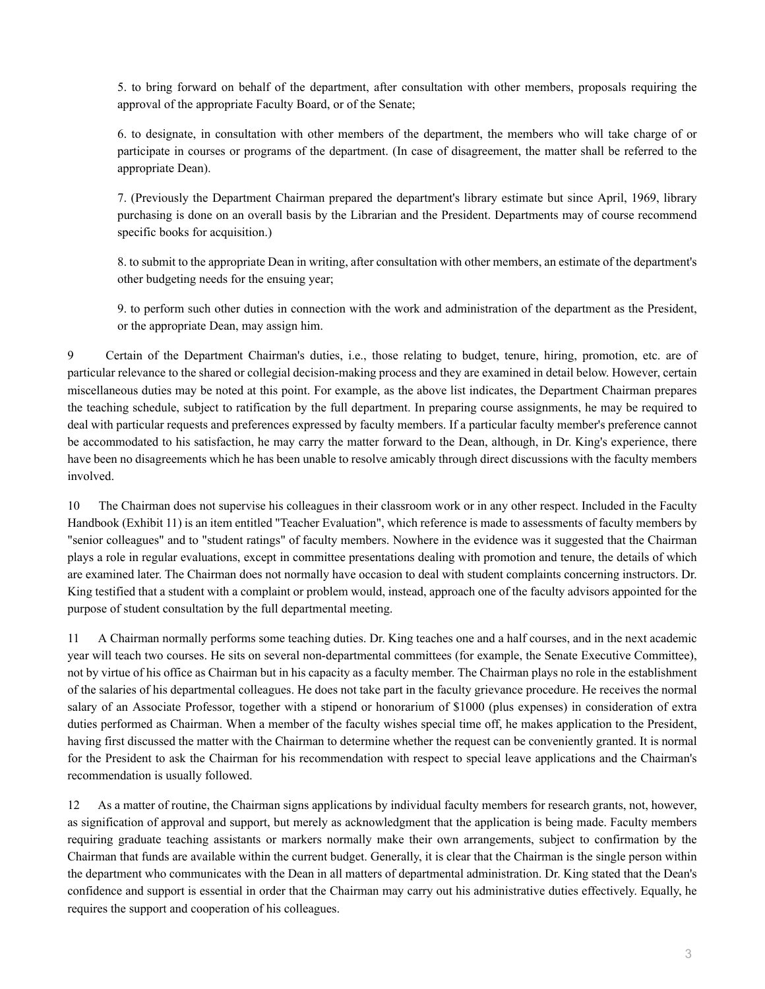5. to bring forward on behalf of the department, after consultation with other members, proposals requiring the approval of the appropriate Faculty Board, or of the Senate;

6. to designate, in consultation with other members of the department, the members who will take charge of or participate in courses or programs of the department. (In case of disagreement, the matter shall be referred to the appropriate Dean).

7. (Previously the Department Chairman prepared the department's library estimate but since April, 1969, library purchasing is done on an overall basis by the Librarian and the President. Departments may of course recommend specific books for acquisition.)

8. to submit to the appropriate Dean in writing, after consultation with other members, an estimate of the department's other budgeting needs for the ensuing year;

9. to perform such other duties in connection with the work and administration of the department as the President, or the appropriate Dean, may assign him.

9 Certain of the Department Chairman's duties, i.e., those relating to budget, tenure, hiring, promotion, etc. are of particular relevance to the shared or collegial decision-making process and they are examined in detail below. However, certain miscellaneous duties may be noted at this point. For example, as the above list indicates, the Department Chairman prepares the teaching schedule, subject to ratification by the full department. In preparing course assignments, he may be required to deal with particular requests and preferences expressed by faculty members. If a particular faculty member's preference cannot be accommodated to his satisfaction, he may carry the matter forward to the Dean, although, in Dr. King's experience, there have been no disagreements which he has been unable to resolve amicably through direct discussions with the faculty members involved.

10 The Chairman does not supervise his colleagues in their classroom work or in any other respect. Included in the Faculty Handbook (Exhibit 11) is an item entitled "Teacher Evaluation", which reference is made to assessments of faculty members by "senior colleagues" and to "student ratings" of faculty members. Nowhere in the evidence was it suggested that the Chairman plays a role in regular evaluations, except in committee presentations dealing with promotion and tenure, the details of which are examined later. The Chairman does not normally have occasion to deal with student complaints concerning instructors. Dr. King testified that a student with a complaint or problem would, instead, approach one of the faculty advisors appointed for the purpose of student consultation by the full departmental meeting.

11 A Chairman normally performs some teaching duties. Dr. King teaches one and a half courses, and in the next academic year will teach two courses. He sits on several non-departmental committees (for example, the Senate Executive Committee), not by virtue of his office as Chairman but in his capacity as a faculty member. The Chairman plays no role in the establishment of the salaries of his departmental colleagues. He does not take part in the faculty grievance procedure. He receives the normal salary of an Associate Professor, together with a stipend or honorarium of \$1000 (plus expenses) in consideration of extra duties performed as Chairman. When a member of the faculty wishes special time off, he makes application to the President, having first discussed the matter with the Chairman to determine whether the request can be conveniently granted. It is normal for the President to ask the Chairman for his recommendation with respect to special leave applications and the Chairman's recommendation is usually followed.

12 As a matter of routine, the Chairman signs applications by individual faculty members for research grants, not, however, as signification of approval and support, but merely as acknowledgment that the application is being made. Faculty members requiring graduate teaching assistants or markers normally make their own arrangements, subject to confirmation by the Chairman that funds are available within the current budget. Generally, it is clear that the Chairman is the single person within the department who communicates with the Dean in all matters of departmental administration. Dr. King stated that the Dean's confidence and support is essential in order that the Chairman may carry out his administrative duties effectively. Equally, he requires the support and cooperation of his colleagues.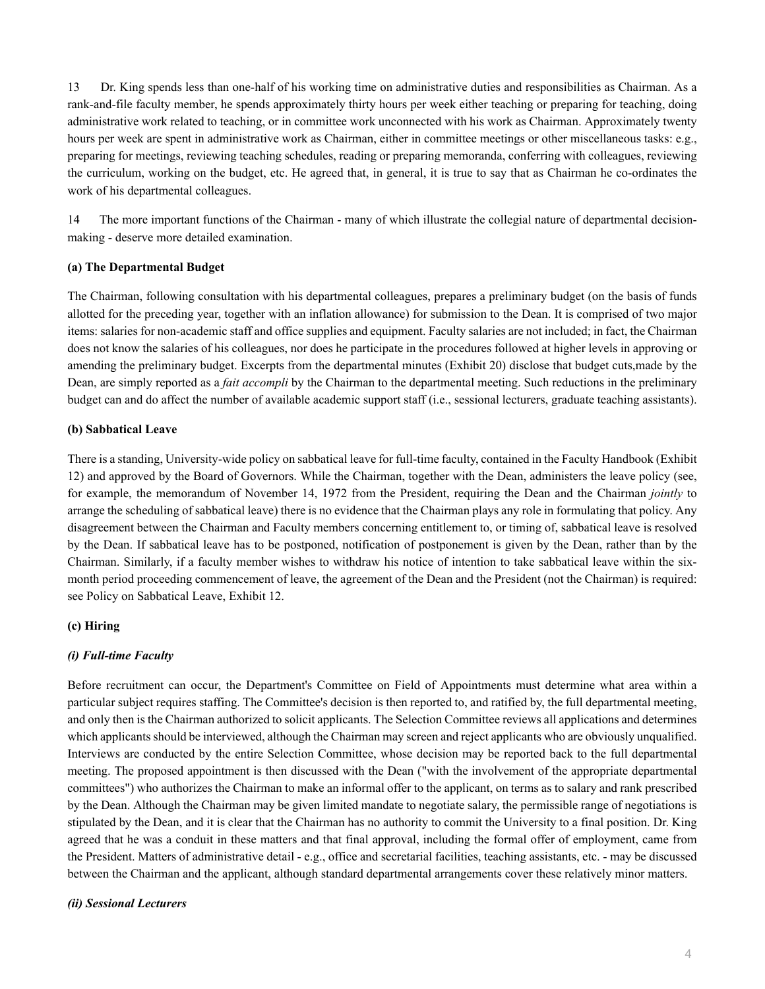13 Dr. King spends less than one-half of his working time on administrative duties and responsibilities as Chairman. As a rank-and-file faculty member, he spends approximately thirty hours per week either teaching or preparing for teaching, doing administrative work related to teaching, or in committee work unconnected with his work as Chairman. Approximately twenty hours per week are spent in administrative work as Chairman, either in committee meetings or other miscellaneous tasks: e.g., preparing for meetings, reviewing teaching schedules, reading or preparing memoranda, conferring with colleagues, reviewing the curriculum, working on the budget, etc. He agreed that, in general, it is true to say that as Chairman he co-ordinates the work of his departmental colleagues.

14 The more important functions of the Chairman - many of which illustrate the collegial nature of departmental decisionmaking - deserve more detailed examination.

#### **(a) The Departmental Budget**

The Chairman, following consultation with his departmental colleagues, prepares a preliminary budget (on the basis of funds allotted for the preceding year, together with an inflation allowance) for submission to the Dean. It is comprised of two major items: salaries for non-academic staff and office supplies and equipment. Faculty salaries are not included; in fact, the Chairman does not know the salaries of his colleagues, nor does he participate in the procedures followed at higher levels in approving or amending the preliminary budget. Excerpts from the departmental minutes (Exhibit 20) disclose that budget cuts,made by the Dean, are simply reported as a *fait accompli* by the Chairman to the departmental meeting. Such reductions in the preliminary budget can and do affect the number of available academic support staff (i.e., sessional lecturers, graduate teaching assistants).

#### **(b) Sabbatical Leave**

There is a standing, University-wide policy on sabbatical leave for full-time faculty, contained in the Faculty Handbook (Exhibit 12) and approved by the Board of Governors. While the Chairman, together with the Dean, administers the leave policy (see, for example, the memorandum of November 14, 1972 from the President, requiring the Dean and the Chairman *jointly* to arrange the scheduling of sabbatical leave) there is no evidence that the Chairman plays any role in formulating that policy. Any disagreement between the Chairman and Faculty members concerning entitlement to, or timing of, sabbatical leave is resolved by the Dean. If sabbatical leave has to be postponed, notification of postponement is given by the Dean, rather than by the Chairman. Similarly, if a faculty member wishes to withdraw his notice of intention to take sabbatical leave within the sixmonth period proceeding commencement of leave, the agreement of the Dean and the President (not the Chairman) is required: see Policy on Sabbatical Leave, Exhibit 12.

### **(c) Hiring**

### *(i) Full-time Faculty*

Before recruitment can occur, the Department's Committee on Field of Appointments must determine what area within a particular subject requires staffing. The Committee's decision is then reported to, and ratified by, the full departmental meeting, and only then is the Chairman authorized to solicit applicants. The Selection Committee reviews all applications and determines which applicants should be interviewed, although the Chairman may screen and reject applicants who are obviously unqualified. Interviews are conducted by the entire Selection Committee, whose decision may be reported back to the full departmental meeting. The proposed appointment is then discussed with the Dean ("with the involvement of the appropriate departmental committees") who authorizes the Chairman to make an informal offer to the applicant, on terms as to salary and rank prescribed by the Dean. Although the Chairman may be given limited mandate to negotiate salary, the permissible range of negotiations is stipulated by the Dean, and it is clear that the Chairman has no authority to commit the University to a final position. Dr. King agreed that he was a conduit in these matters and that final approval, including the formal offer of employment, came from the President. Matters of administrative detail - e.g., office and secretarial facilities, teaching assistants, etc. - may be discussed between the Chairman and the applicant, although standard departmental arrangements cover these relatively minor matters.

### *(ii) Sessional Lecturers*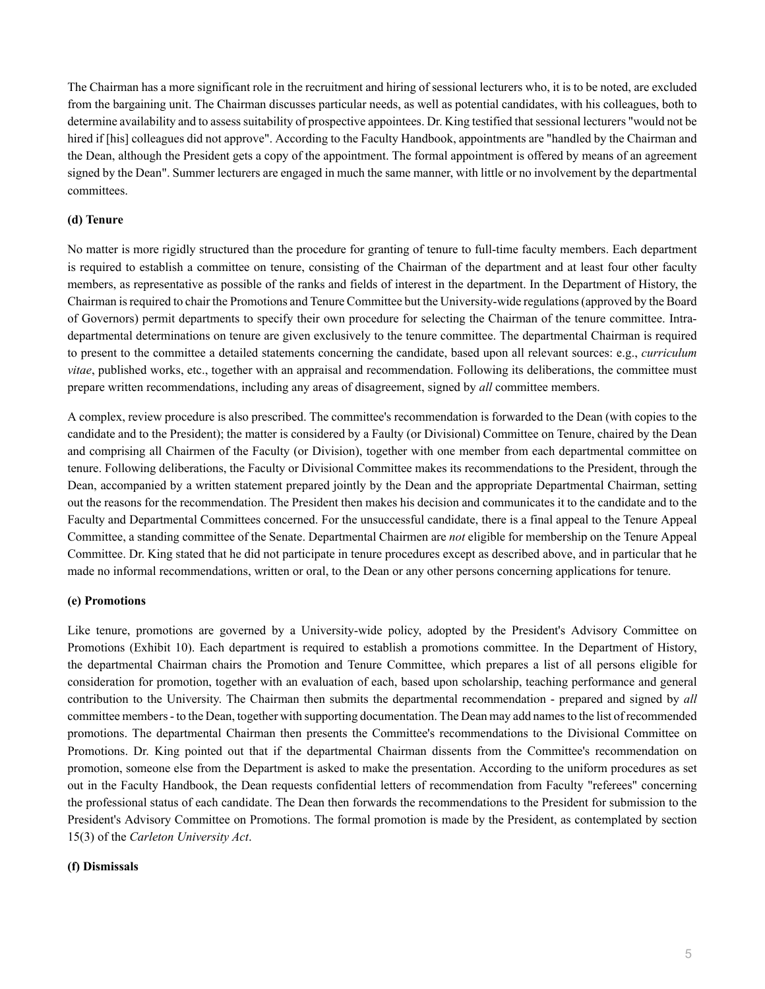The Chairman has a more significant role in the recruitment and hiring of sessional lecturers who, it is to be noted, are excluded from the bargaining unit. The Chairman discusses particular needs, as well as potential candidates, with his colleagues, both to determine availability and to assess suitability of prospective appointees. Dr. King testified that sessional lecturers "would not be hired if [his] colleagues did not approve". According to the Faculty Handbook, appointments are "handled by the Chairman and the Dean, although the President gets a copy of the appointment. The formal appointment is offered by means of an agreement signed by the Dean". Summer lecturers are engaged in much the same manner, with little or no involvement by the departmental committees.

#### **(d) Tenure**

No matter is more rigidly structured than the procedure for granting of tenure to full-time faculty members. Each department is required to establish a committee on tenure, consisting of the Chairman of the department and at least four other faculty members, as representative as possible of the ranks and fields of interest in the department. In the Department of History, the Chairman is required to chair the Promotions and Tenure Committee but the University-wide regulations (approved by the Board of Governors) permit departments to specify their own procedure for selecting the Chairman of the tenure committee. Intradepartmental determinations on tenure are given exclusively to the tenure committee. The departmental Chairman is required to present to the committee a detailed statements concerning the candidate, based upon all relevant sources: e.g., *curriculum vitae*, published works, etc., together with an appraisal and recommendation. Following its deliberations, the committee must prepare written recommendations, including any areas of disagreement, signed by *all* committee members.

A complex, review procedure is also prescribed. The committee's recommendation is forwarded to the Dean (with copies to the candidate and to the President); the matter is considered by a Faulty (or Divisional) Committee on Tenure, chaired by the Dean and comprising all Chairmen of the Faculty (or Division), together with one member from each departmental committee on tenure. Following deliberations, the Faculty or Divisional Committee makes its recommendations to the President, through the Dean, accompanied by a written statement prepared jointly by the Dean and the appropriate Departmental Chairman, setting out the reasons for the recommendation. The President then makes his decision and communicates it to the candidate and to the Faculty and Departmental Committees concerned. For the unsuccessful candidate, there is a final appeal to the Tenure Appeal Committee, a standing committee of the Senate. Departmental Chairmen are *not* eligible for membership on the Tenure Appeal Committee. Dr. King stated that he did not participate in tenure procedures except as described above, and in particular that he made no informal recommendations, written or oral, to the Dean or any other persons concerning applications for tenure.

#### **(e) Promotions**

Like tenure, promotions are governed by a University-wide policy, adopted by the President's Advisory Committee on Promotions (Exhibit 10). Each department is required to establish a promotions committee. In the Department of History, the departmental Chairman chairs the Promotion and Tenure Committee, which prepares a list of all persons eligible for consideration for promotion, together with an evaluation of each, based upon scholarship, teaching performance and general contribution to the University. The Chairman then submits the departmental recommendation - prepared and signed by *all* committee members - to the Dean, together with supporting documentation. The Dean may add names to the list of recommended promotions. The departmental Chairman then presents the Committee's recommendations to the Divisional Committee on Promotions. Dr. King pointed out that if the departmental Chairman dissents from the Committee's recommendation on promotion, someone else from the Department is asked to make the presentation. According to the uniform procedures as set out in the Faculty Handbook, the Dean requests confidential letters of recommendation from Faculty "referees" concerning the professional status of each candidate. The Dean then forwards the recommendations to the President for submission to the President's Advisory Committee on Promotions. The formal promotion is made by the President, as contemplated by section 15(3) of the *Carleton University Act*.

#### **(f) Dismissals**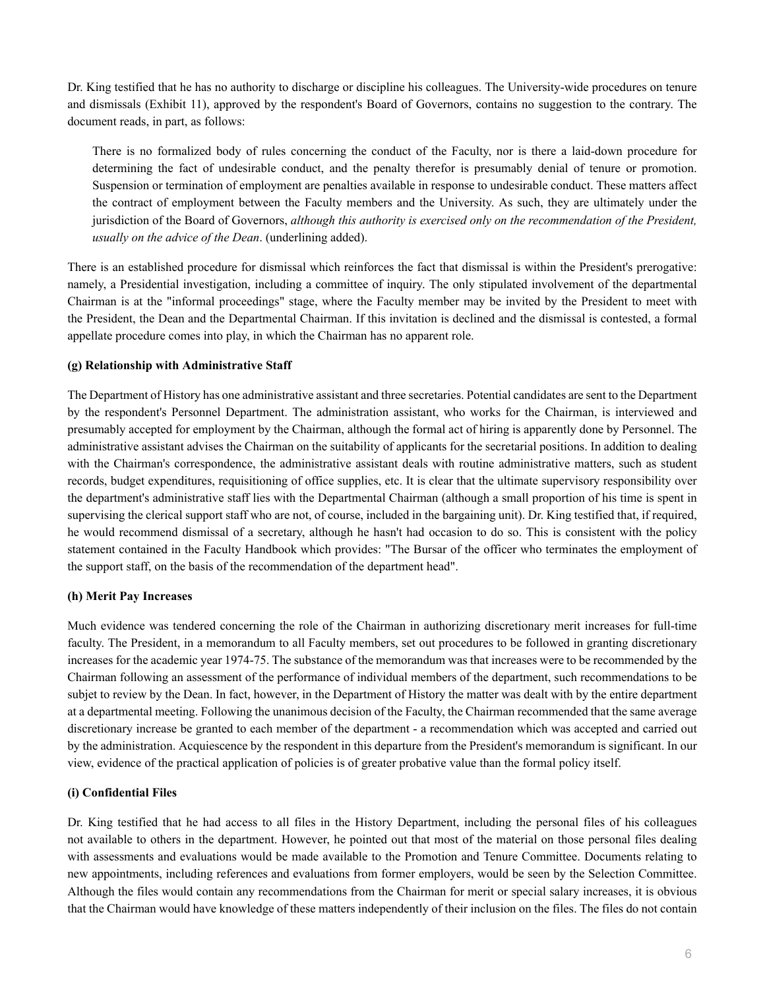Dr. King testified that he has no authority to discharge or discipline his colleagues. The University-wide procedures on tenure and dismissals (Exhibit 11), approved by the respondent's Board of Governors, contains no suggestion to the contrary. The document reads, in part, as follows:

There is no formalized body of rules concerning the conduct of the Faculty, nor is there a laid-down procedure for determining the fact of undesirable conduct, and the penalty therefor is presumably denial of tenure or promotion. Suspension or termination of employment are penalties available in response to undesirable conduct. These matters affect the contract of employment between the Faculty members and the University. As such, they are ultimately under the jurisdiction of the Board of Governors, *although this authority is exercised only on the recommendation of the President, usually on the advice of the Dean*. (underlining added).

There is an established procedure for dismissal which reinforces the fact that dismissal is within the President's prerogative: namely, a Presidential investigation, including a committee of inquiry. The only stipulated involvement of the departmental Chairman is at the "informal proceedings" stage, where the Faculty member may be invited by the President to meet with the President, the Dean and the Departmental Chairman. If this invitation is declined and the dismissal is contested, a formal appellate procedure comes into play, in which the Chairman has no apparent role.

# **(g) Relationship with Administrative Staff**

The Department of History has one administrative assistant and three secretaries. Potential candidates are sent to the Department by the respondent's Personnel Department. The administration assistant, who works for the Chairman, is interviewed and presumably accepted for employment by the Chairman, although the formal act of hiring is apparently done by Personnel. The administrative assistant advises the Chairman on the suitability of applicants for the secretarial positions. In addition to dealing with the Chairman's correspondence, the administrative assistant deals with routine administrative matters, such as student records, budget expenditures, requisitioning of office supplies, etc. It is clear that the ultimate supervisory responsibility over the department's administrative staff lies with the Departmental Chairman (although a small proportion of his time is spent in supervising the clerical support staff who are not, of course, included in the bargaining unit). Dr. King testified that, if required, he would recommend dismissal of a secretary, although he hasn't had occasion to do so. This is consistent with the policy statement contained in the Faculty Handbook which provides: "The Bursar of the officer who terminates the employment of the support staff, on the basis of the recommendation of the department head".

### **(h) Merit Pay Increases**

Much evidence was tendered concerning the role of the Chairman in authorizing discretionary merit increases for full-time faculty. The President, in a memorandum to all Faculty members, set out procedures to be followed in granting discretionary increases for the academic year 1974-75. The substance of the memorandum was that increases were to be recommended by the Chairman following an assessment of the performance of individual members of the department, such recommendations to be subjet to review by the Dean. In fact, however, in the Department of History the matter was dealt with by the entire department at a departmental meeting. Following the unanimous decision of the Faculty, the Chairman recommended that the same average discretionary increase be granted to each member of the department - a recommendation which was accepted and carried out by the administration. Acquiescence by the respondent in this departure from the President's memorandum is significant. In our view, evidence of the practical application of policies is of greater probative value than the formal policy itself.

### **(i) Confidential Files**

Dr. King testified that he had access to all files in the History Department, including the personal files of his colleagues not available to others in the department. However, he pointed out that most of the material on those personal files dealing with assessments and evaluations would be made available to the Promotion and Tenure Committee. Documents relating to new appointments, including references and evaluations from former employers, would be seen by the Selection Committee. Although the files would contain any recommendations from the Chairman for merit or special salary increases, it is obvious that the Chairman would have knowledge of these matters independently of their inclusion on the files. The files do not contain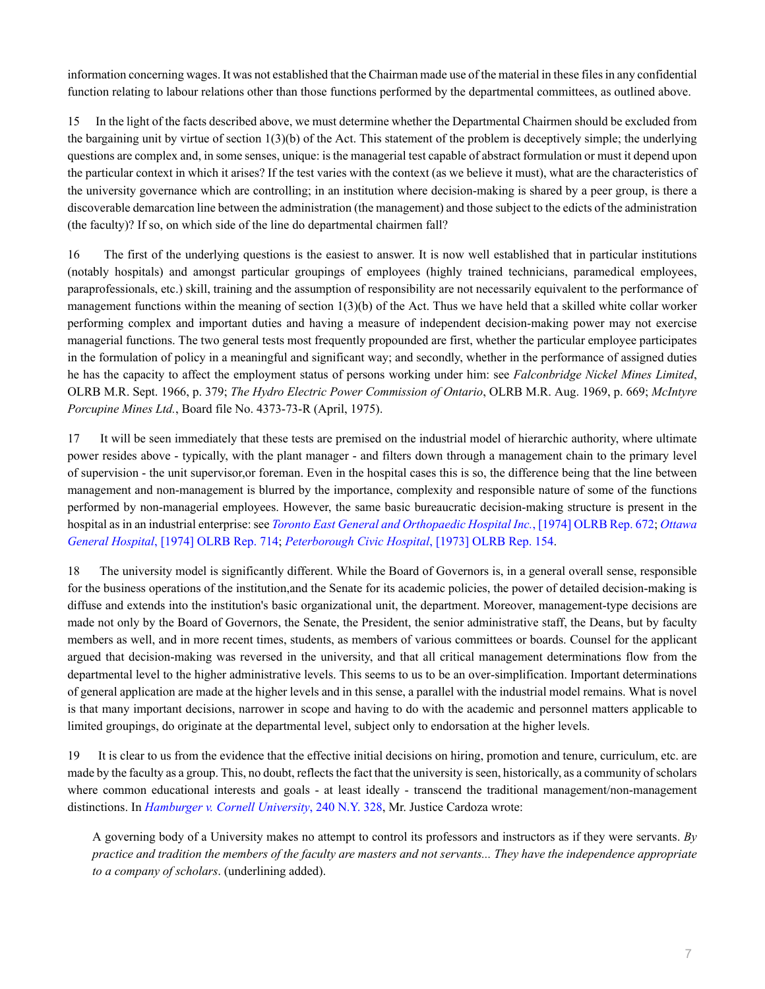information concerning wages. It was not established that the Chairman made use of the material in these files in any confidential function relating to labour relations other than those functions performed by the departmental committees, as outlined above.

15 In the light of the facts described above, we must determine whether the Departmental Chairmen should be excluded from the bargaining unit by virtue of section  $1(3)(b)$  of the Act. This statement of the problem is deceptively simple; the underlying questions are complex and, in some senses, unique: is the managerial test capable of abstract formulation or must it depend upon the particular context in which it arises? If the test varies with the context (as we believe it must), what are the characteristics of the university governance which are controlling; in an institution where decision-making is shared by a peer group, is there a discoverable demarcation line between the administration (the management) and those subject to the edicts of the administration (the faculty)? If so, on which side of the line do departmental chairmen fall?

16 The first of the underlying questions is the easiest to answer. It is now well established that in particular institutions (notably hospitals) and amongst particular groupings of employees (highly trained technicians, paramedical employees, paraprofessionals, etc.) skill, training and the assumption of responsibility are not necessarily equivalent to the performance of management functions within the meaning of section  $1(3)(b)$  of the Act. Thus we have held that a skilled white collar worker performing complex and important duties and having a measure of independent decision-making power may not exercise managerial functions. The two general tests most frequently propounded are first, whether the particular employee participates in the formulation of policy in a meaningful and significant way; and secondly, whether in the performance of assigned duties he has the capacity to affect the employment status of persons working under him: see *Falconbridge Nickel Mines Limited*, OLRB M.R. Sept. 1966, p. 379; *The Hydro Electric Power Commission of Ontario*, OLRB M.R. Aug. 1969, p. 669; *McIntyre Porcupine Mines Ltd.*, Board file No. 4373-73-R (April, 1975).

17 It will be seen immediately that these tests are premised on the industrial model of hierarchic authority, where ultimate power resides above - typically, with the plant manager - and filters down through a management chain to the primary level of supervision - the unit supervisor,or foreman. Even in the hospital cases this is so, the difference being that the line between management and non-management is blurred by the importance, complexity and responsible nature of some of the functions performed by non-managerial employees. However, the same basic bureaucratic decision-making structure is present in the hospital as in an industrial enterprise: see *[Toronto East General and Orthopaedic Hospital Inc.](http://nextcanada.westlaw.com/Link/Document/FullText?findType=Y&pubNum=0006136&cite=1974OLRBRCA672&originatingDoc=I10b717cf52b163f0e0440003ba0d6c6d&refType=IC&originationContext=document&vr=3.0&rs=cblt1.0&transitionType=DocumentItem&contextData=(sc.DocLink))*, [1974] OLRB Rep. 672; *[Ottawa](http://nextcanada.westlaw.com/Link/Document/FullText?findType=Y&serNum=1974150072&pubNum=0006136&originatingDoc=I10b717cf52b163f0e0440003ba0d6c6d&refType=IC&originationContext=document&vr=3.0&rs=cblt1.0&transitionType=DocumentItem&contextData=(sc.DocLink)) General Hospital*[, \[1974\] OLRB Rep. 714](http://nextcanada.westlaw.com/Link/Document/FullText?findType=Y&serNum=1974150072&pubNum=0006136&originatingDoc=I10b717cf52b163f0e0440003ba0d6c6d&refType=IC&originationContext=document&vr=3.0&rs=cblt1.0&transitionType=DocumentItem&contextData=(sc.DocLink)); *[Peterborough Civic Hospital](http://nextcanada.westlaw.com/Link/Document/FullText?findType=Y&serNum=1973144667&pubNum=0006136&originatingDoc=I10b717cf52b163f0e0440003ba0d6c6d&refType=IC&originationContext=document&vr=3.0&rs=cblt1.0&transitionType=DocumentItem&contextData=(sc.DocLink))*, [1973] OLRB Rep. 154.

18 The university model is significantly different. While the Board of Governors is, in a general overall sense, responsible for the business operations of the institution,and the Senate for its academic policies, the power of detailed decision-making is diffuse and extends into the institution's basic organizational unit, the department. Moreover, management-type decisions are made not only by the Board of Governors, the Senate, the President, the senior administrative staff, the Deans, but by faculty members as well, and in more recent times, students, as members of various committees or boards. Counsel for the applicant argued that decision-making was reversed in the university, and that all critical management determinations flow from the departmental level to the higher administrative levels. This seems to us to be an over-simplification. Important determinations of general application are made at the higher levels and in this sense, a parallel with the industrial model remains. What is novel is that many important decisions, narrower in scope and having to do with the academic and personnel matters applicable to limited groupings, do originate at the departmental level, subject only to endorsation at the higher levels.

19 It is clear to us from the evidence that the effective initial decisions on hiring, promotion and tenure, curriculum, etc. are made by the faculty as a group. This, no doubt, reflects the fact that the university is seen, historically, as a community of scholars where common educational interests and goals - at least ideally - transcend the traditional management/non-management distinctions. In *[Hamburger v. Cornell University](http://nextcanada.westlaw.com/Link/Document/FullText?findType=Y&serNum=1925100393&pubNum=0000596&originatingDoc=I10b717cf52b163f0e0440003ba0d6c6d&refType=RP&originationContext=document&vr=3.0&rs=cblt1.0&transitionType=DocumentItem&contextData=(sc.DocLink))*, 240 N.Y. 328, Mr. Justice Cardoza wrote:

A governing body of a University makes no attempt to control its professors and instructors as if they were servants. *By practice and tradition the members of the faculty are masters and not servants... They have the independence appropriate to a company of scholars*. (underlining added).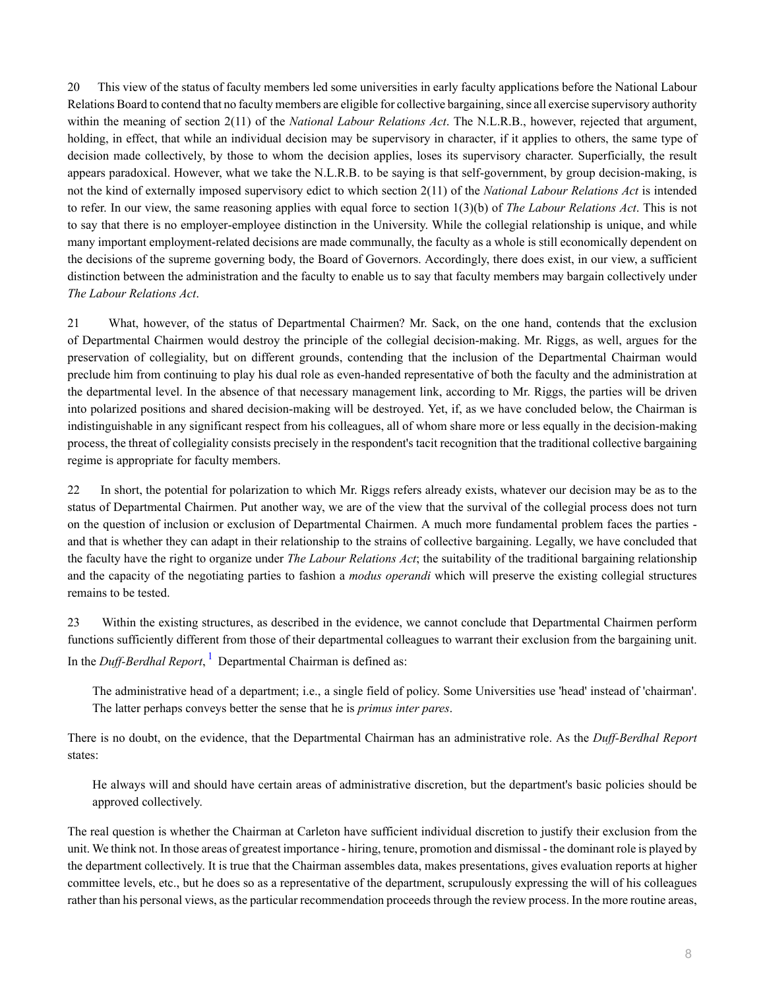20 This view of the status of faculty members led some universities in early faculty applications before the National Labour Relations Board to contend that no faculty members are eligible for collective bargaining, since all exercise supervisory authority within the meaning of section 2(11) of the *National Labour Relations Act*. The N.L.R.B., however, rejected that argument, holding, in effect, that while an individual decision may be supervisory in character, if it applies to others, the same type of decision made collectively, by those to whom the decision applies, loses its supervisory character. Superficially, the result appears paradoxical. However, what we take the N.L.R.B. to be saying is that self-government, by group decision-making, is not the kind of externally imposed supervisory edict to which section 2(11) of the *National Labour Relations Act* is intended to refer. In our view, the same reasoning applies with equal force to section 1(3)(b) of *The Labour Relations Act*. This is not to say that there is no employer-employee distinction in the University. While the collegial relationship is unique, and while many important employment-related decisions are made communally, the faculty as a whole is still economically dependent on the decisions of the supreme governing body, the Board of Governors. Accordingly, there does exist, in our view, a sufficient distinction between the administration and the faculty to enable us to say that faculty members may bargain collectively under *The Labour Relations Act*.

21 What, however, of the status of Departmental Chairmen? Mr. Sack, on the one hand, contends that the exclusion of Departmental Chairmen would destroy the principle of the collegial decision-making. Mr. Riggs, as well, argues for the preservation of collegiality, but on different grounds, contending that the inclusion of the Departmental Chairman would preclude him from continuing to play his dual role as even-handed representative of both the faculty and the administration at the departmental level. In the absence of that necessary management link, according to Mr. Riggs, the parties will be driven into polarized positions and shared decision-making will be destroyed. Yet, if, as we have concluded below, the Chairman is indistinguishable in any significant respect from his colleagues, all of whom share more or less equally in the decision-making process, the threat of collegiality consists precisely in the respondent's tacit recognition that the traditional collective bargaining regime is appropriate for faculty members.

22 In short, the potential for polarization to which Mr. Riggs refers already exists, whatever our decision may be as to the status of Departmental Chairmen. Put another way, we are of the view that the survival of the collegial process does not turn on the question of inclusion or exclusion of Departmental Chairmen. A much more fundamental problem faces the parties and that is whether they can adapt in their relationship to the strains of collective bargaining. Legally, we have concluded that the faculty have the right to organize under *The Labour Relations Act*; the suitability of the traditional bargaining relationship and the capacity of the negotiating parties to fashion a *modus operandi* which will preserve the existing collegial structures remains to be tested.

23 Within the existing structures, as described in the evidence, we cannot conclude that Departmental Chairmen perform functions sufficiently different from those of their departmental colleagues to warrant their exclusion from the bargaining unit. In the *Duff-Berdhal Report*, [1](#page-11-0) Departmental Chairman is defined as:

<span id="page-7-0"></span>The administrative head of a department; i.e., a single field of policy. Some Universities use 'head' instead of 'chairman'. The latter perhaps conveys better the sense that he is *primus inter pares*.

There is no doubt, on the evidence, that the Departmental Chairman has an administrative role. As the *Duff-Berdhal Report* states:

He always will and should have certain areas of administrative discretion, but the department's basic policies should be approved collectively.

The real question is whether the Chairman at Carleton have sufficient individual discretion to justify their exclusion from the unit. We think not. In those areas of greatest importance - hiring, tenure, promotion and dismissal - the dominant role is played by the department collectively. It is true that the Chairman assembles data, makes presentations, gives evaluation reports at higher committee levels, etc., but he does so as a representative of the department, scrupulously expressing the will of his colleagues rather than his personal views, as the particular recommendation proceeds through the review process. In the more routine areas,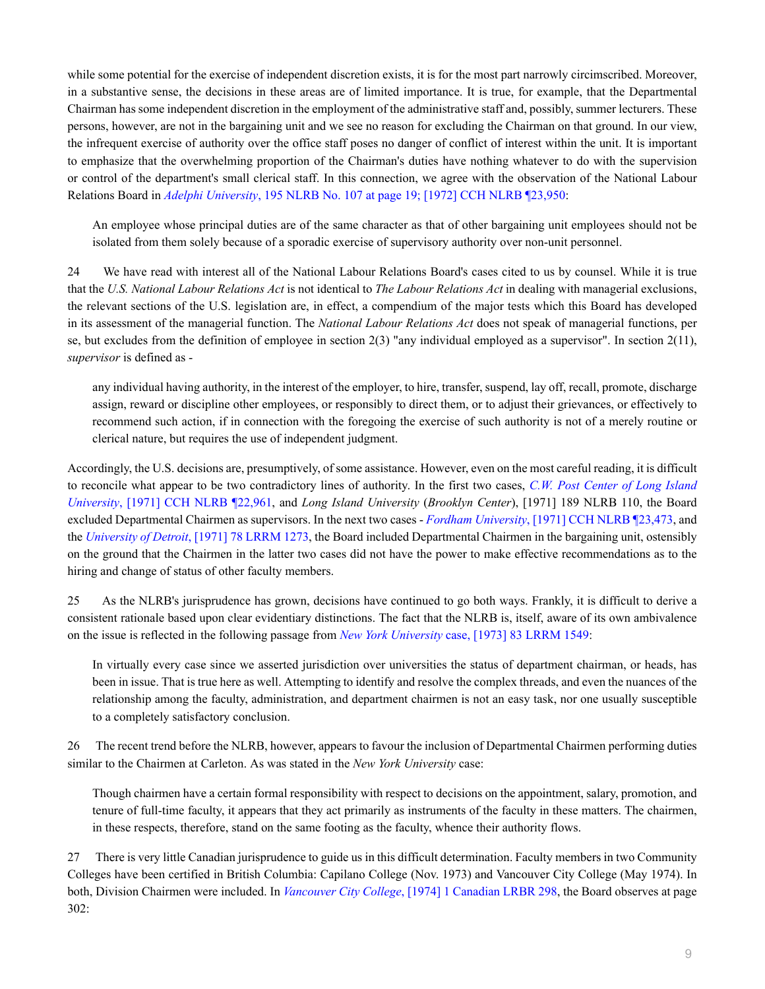while some potential for the exercise of independent discretion exists, it is for the most part narrowly circimscribed. Moreover, in a substantive sense, the decisions in these areas are of limited importance. It is true, for example, that the Departmental Chairman has some independent discretion in the employment of the administrative staff and, possibly, summer lecturers. These persons, however, are not in the bargaining unit and we see no reason for excluding the Chairman on that ground. In our view, the infrequent exercise of authority over the office staff poses no danger of conflict of interest within the unit. It is important to emphasize that the overwhelming proportion of the Chairman's duties have nothing whatever to do with the supervision or control of the department's small clerical staff. In this connection, we agree with the observation of the National Labour Relations Board in *Adelphi University*[, 195 NLRB No. 107 at page 19; \[1972\] CCH NLRB ¶23,950:](http://nextcanada.westlaw.com/Link/Document/FullText?findType=Y&serNum=1972010830&pubNum=0001033&originatingDoc=I10b717cf52b163f0e0440003ba0d6c6d&refType=CA&originationContext=document&vr=3.0&rs=cblt1.0&transitionType=DocumentItem&contextData=(sc.DocLink))

An employee whose principal duties are of the same character as that of other bargaining unit employees should not be isolated from them solely because of a sporadic exercise of supervisory authority over non-unit personnel.

24 We have read with interest all of the National Labour Relations Board's cases cited to us by counsel. While it is true that the *U.S. National Labour Relations Act* is not identical to *The Labour Relations Act* in dealing with managerial exclusions, the relevant sections of the U.S. legislation are, in effect, a compendium of the major tests which this Board has developed in its assessment of the managerial function. The *National Labour Relations Act* does not speak of managerial functions, per se, but excludes from the definition of employee in section 2(3) "any individual employed as a supervisor". In section 2(11), *supervisor* is defined as -

any individual having authority, in the interest of the employer, to hire, transfer, suspend, lay off, recall, promote, discharge assign, reward or discipline other employees, or responsibly to direct them, or to adjust their grievances, or effectively to recommend such action, if in connection with the foregoing the exercise of such authority is not of a merely routine or clerical nature, but requires the use of independent judgment.

Accordingly, the U.S. decisions are, presumptively, of some assistance. However, even on the most careful reading, it is difficult to reconcile what appear to be two contradictory lines of authority. In the first two cases, *[C.W. Post Center of Long Island](http://nextcanada.westlaw.com/Link/Document/FullText?findType=Y&serNum=1971020945&pubNum=0001552&originatingDoc=I10b717cf52b163f0e0440003ba0d6c6d&refType=RP&originationContext=document&vr=3.0&rs=cblt1.0&transitionType=DocumentItem&contextData=(sc.DocLink)) University*[, \[1971\] CCH NLRB ¶22,961,](http://nextcanada.westlaw.com/Link/Document/FullText?findType=Y&serNum=1971020945&pubNum=0001552&originatingDoc=I10b717cf52b163f0e0440003ba0d6c6d&refType=RP&originationContext=document&vr=3.0&rs=cblt1.0&transitionType=DocumentItem&contextData=(sc.DocLink)) and *Long Island University* (*Brooklyn Center*), [1971] 189 NLRB 110, the Board excluded Departmental Chairmen as supervisors. In the next two cases - *Fordham University*[, \[1971\] CCH NLRB ¶23,473,](http://nextcanada.westlaw.com/Link/Document/FullText?findType=Y&serNum=1971020220&pubNum=0001552&originatingDoc=I10b717cf52b163f0e0440003ba0d6c6d&refType=RP&originationContext=document&vr=3.0&rs=cblt1.0&transitionType=DocumentItem&contextData=(sc.DocLink)) and the *University of Detroit*[, \[1971\] 78 LRRM 1273](http://nextcanada.westlaw.com/Link/Document/FullText?findType=Y&serNum=1971020630&pubNum=0000025&originatingDoc=I10b717cf52b163f0e0440003ba0d6c6d&refType=RP&originationContext=document&vr=3.0&rs=cblt1.0&transitionType=DocumentItem&contextData=(sc.DocLink)), the Board included Departmental Chairmen in the bargaining unit, ostensibly on the ground that the Chairmen in the latter two cases did not have the power to make effective recommendations as to the hiring and change of status of other faculty members.

25 As the NLRB's jurisprudence has grown, decisions have continued to go both ways. Frankly, it is difficult to derive a consistent rationale based upon clear evidentiary distinctions. The fact that the NLRB is, itself, aware of its own ambivalence on the issue is reflected in the following passage from *New York University* [case, \[1973\] 83 LRRM 1549:](http://nextcanada.westlaw.com/Link/Document/FullText?findType=Y&serNum=1973011877&pubNum=0000025&originatingDoc=I10b717cf52b163f0e0440003ba0d6c6d&refType=RP&originationContext=document&vr=3.0&rs=cblt1.0&transitionType=DocumentItem&contextData=(sc.DocLink))

In virtually every case since we asserted jurisdiction over universities the status of department chairman, or heads, has been in issue. That is true here as well. Attempting to identify and resolve the complex threads, and even the nuances of the relationship among the faculty, administration, and department chairmen is not an easy task, nor one usually susceptible to a completely satisfactory conclusion.

26 The recent trend before the NLRB, however, appears to favour the inclusion of Departmental Chairmen performing duties similar to the Chairmen at Carleton. As was stated in the *New York University* case:

Though chairmen have a certain formal responsibility with respect to decisions on the appointment, salary, promotion, and tenure of full-time faculty, it appears that they act primarily as instruments of the faculty in these matters. The chairmen, in these respects, therefore, stand on the same footing as the faculty, whence their authority flows.

27 There is very little Canadian jurisprudence to guide us in this difficult determination. Faculty members in two Community Colleges have been certified in British Columbia: Capilano College (Nov. 1973) and Vancouver City College (May 1974). In both, Division Chairmen were included. In *Vancouver City College*[, \[1974\] 1 Canadian LRBR 298](http://nextcanada.westlaw.com/Link/Document/FullText?findType=Y&pubNum=0006623&cite=1974+1CANADLRBRCA298&originatingDoc=I10b717cf52b163f0e0440003ba0d6c6d&refType=IC&originationContext=document&vr=3.0&rs=cblt1.0&transitionType=DocumentItem&contextData=(sc.DocLink)), the Board observes at page 302: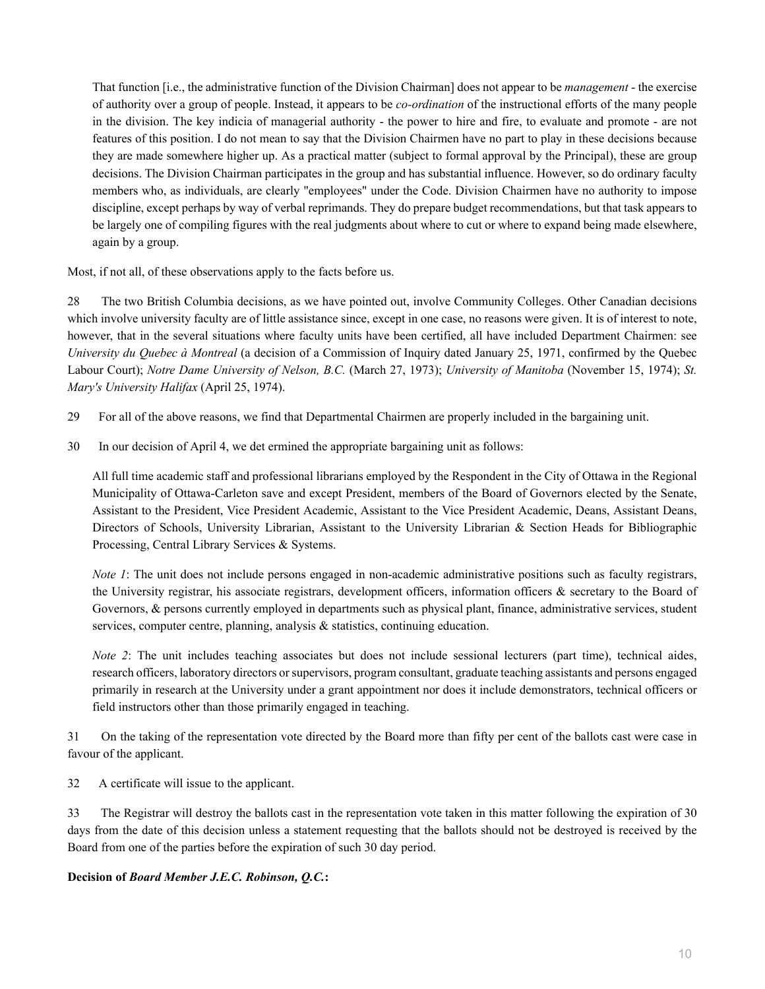That function [i.e., the administrative function of the Division Chairman] does not appear to be *management* - the exercise of authority over a group of people. Instead, it appears to be *co-ordination* of the instructional efforts of the many people in the division. The key indicia of managerial authority - the power to hire and fire, to evaluate and promote - are not features of this position. I do not mean to say that the Division Chairmen have no part to play in these decisions because they are made somewhere higher up. As a practical matter (subject to formal approval by the Principal), these are group decisions. The Division Chairman participates in the group and has substantial influence. However, so do ordinary faculty members who, as individuals, are clearly "employees" under the Code. Division Chairmen have no authority to impose discipline, except perhaps by way of verbal reprimands. They do prepare budget recommendations, but that task appears to be largely one of compiling figures with the real judgments about where to cut or where to expand being made elsewhere, again by a group.

Most, if not all, of these observations apply to the facts before us.

28 The two British Columbia decisions, as we have pointed out, involve Community Colleges. Other Canadian decisions which involve university faculty are of little assistance since, except in one case, no reasons were given. It is of interest to note, however, that in the several situations where faculty units have been certified, all have included Department Chairmen: see *University du Quebec à Montreal* (a decision of a Commission of Inquiry dated January 25, 1971, confirmed by the Quebec Labour Court); *Notre Dame University of Nelson, B.C.* (March 27, 1973); *University of Manitoba* (November 15, 1974); *St. Mary's University Halifax* (April 25, 1974).

- 29 For all of the above reasons, we find that Departmental Chairmen are properly included in the bargaining unit.
- 30 In our decision of April 4, we det ermined the appropriate bargaining unit as follows:

All full time academic staff and professional librarians employed by the Respondent in the City of Ottawa in the Regional Municipality of Ottawa-Carleton save and except President, members of the Board of Governors elected by the Senate, Assistant to the President, Vice President Academic, Assistant to the Vice President Academic, Deans, Assistant Deans, Directors of Schools, University Librarian, Assistant to the University Librarian & Section Heads for Bibliographic Processing, Central Library Services & Systems.

*Note 1*: The unit does not include persons engaged in non-academic administrative positions such as faculty registrars, the University registrar, his associate registrars, development officers, information officers & secretary to the Board of Governors, & persons currently employed in departments such as physical plant, finance, administrative services, student services, computer centre, planning, analysis & statistics, continuing education.

*Note 2*: The unit includes teaching associates but does not include sessional lecturers (part time), technical aides, research officers, laboratory directors or supervisors, program consultant, graduate teaching assistants and persons engaged primarily in research at the University under a grant appointment nor does it include demonstrators, technical officers or field instructors other than those primarily engaged in teaching.

31 On the taking of the representation vote directed by the Board more than fifty per cent of the ballots cast were case in favour of the applicant.

32 A certificate will issue to the applicant.

33 The Registrar will destroy the ballots cast in the representation vote taken in this matter following the expiration of 30 days from the date of this decision unless a statement requesting that the ballots should not be destroyed is received by the Board from one of the parties before the expiration of such 30 day period.

# **Decision of** *Board Member J.E.C. Robinson, Q.C.***:**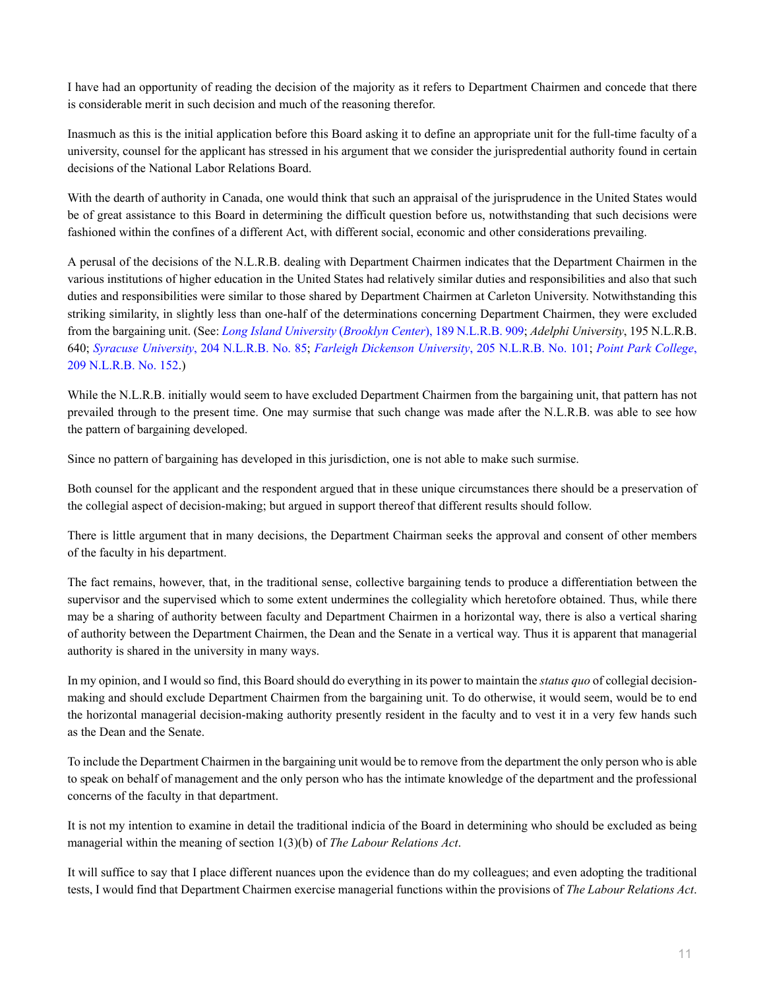I have had an opportunity of reading the decision of the majority as it refers to Department Chairmen and concede that there is considerable merit in such decision and much of the reasoning therefor.

Inasmuch as this is the initial application before this Board asking it to define an appropriate unit for the full-time faculty of a university, counsel for the applicant has stressed in his argument that we consider the jurispredential authority found in certain decisions of the National Labor Relations Board.

With the dearth of authority in Canada, one would think that such an appraisal of the jurisprudence in the United States would be of great assistance to this Board in determining the difficult question before us, notwithstanding that such decisions were fashioned within the confines of a different Act, with different social, economic and other considerations prevailing.

A perusal of the decisions of the N.L.R.B. dealing with Department Chairmen indicates that the Department Chairmen in the various institutions of higher education in the United States had relatively similar duties and responsibilities and also that such duties and responsibilities were similar to those shared by Department Chairmen at Carleton University. Notwithstanding this striking similarity, in slightly less than one-half of the determinations concerning Department Chairmen, they were excluded from the bargaining unit. (See: *[Long Island University](http://nextcanada.westlaw.com/Link/Document/FullText?findType=Y&serNum=1971020947&pubNum=0001417&originatingDoc=I10b717cf52b163f0e0440003ba0d6c6d&refType=CA&originationContext=document&vr=3.0&rs=cblt1.0&transitionType=DocumentItem&contextData=(sc.DocLink))* (*Brooklyn Center*), 189 N.L.R.B. 909; *Adelphi University*, 195 N.L.R.B. 640; *Syracuse University*[, 204 N.L.R.B. No. 85;](http://nextcanada.westlaw.com/Link/Document/FullText?findType=Y&serNum=1973011859&pubNum=0001033&originatingDoc=I10b717cf52b163f0e0440003ba0d6c6d&refType=CA&originationContext=document&vr=3.0&rs=cblt1.0&transitionType=DocumentItem&contextData=(sc.DocLink)) *[Farleigh Dickenson University](http://nextcanada.westlaw.com/Link/Document/FullText?findType=Y&serNum=1973011782&pubNum=0001033&originatingDoc=I10b717cf52b163f0e0440003ba0d6c6d&refType=CA&originationContext=document&vr=3.0&rs=cblt1.0&transitionType=DocumentItem&contextData=(sc.DocLink))*, 205 N.L.R.B. No. 101; *[Point Park College](http://nextcanada.westlaw.com/Link/Document/FullText?findType=Y&serNum=1974011983&pubNum=0001033&originatingDoc=I10b717cf52b163f0e0440003ba0d6c6d&refType=CA&originationContext=document&vr=3.0&rs=cblt1.0&transitionType=DocumentItem&contextData=(sc.DocLink))*, [209 N.L.R.B. No. 152.](http://nextcanada.westlaw.com/Link/Document/FullText?findType=Y&serNum=1974011983&pubNum=0001033&originatingDoc=I10b717cf52b163f0e0440003ba0d6c6d&refType=CA&originationContext=document&vr=3.0&rs=cblt1.0&transitionType=DocumentItem&contextData=(sc.DocLink)))

While the N.L.R.B. initially would seem to have excluded Department Chairmen from the bargaining unit, that pattern has not prevailed through to the present time. One may surmise that such change was made after the N.L.R.B. was able to see how the pattern of bargaining developed.

Since no pattern of bargaining has developed in this jurisdiction, one is not able to make such surmise.

Both counsel for the applicant and the respondent argued that in these unique circumstances there should be a preservation of the collegial aspect of decision-making; but argued in support thereof that different results should follow.

There is little argument that in many decisions, the Department Chairman seeks the approval and consent of other members of the faculty in his department.

The fact remains, however, that, in the traditional sense, collective bargaining tends to produce a differentiation between the supervisor and the supervised which to some extent undermines the collegiality which heretofore obtained. Thus, while there may be a sharing of authority between faculty and Department Chairmen in a horizontal way, there is also a vertical sharing of authority between the Department Chairmen, the Dean and the Senate in a vertical way. Thus it is apparent that managerial authority is shared in the university in many ways.

In my opinion, and I would so find, this Board should do everything in its power to maintain the *status quo* of collegial decisionmaking and should exclude Department Chairmen from the bargaining unit. To do otherwise, it would seem, would be to end the horizontal managerial decision-making authority presently resident in the faculty and to vest it in a very few hands such as the Dean and the Senate.

To include the Department Chairmen in the bargaining unit would be to remove from the department the only person who is able to speak on behalf of management and the only person who has the intimate knowledge of the department and the professional concerns of the faculty in that department.

It is not my intention to examine in detail the traditional indicia of the Board in determining who should be excluded as being managerial within the meaning of section 1(3)(b) of *The Labour Relations Act*.

It will suffice to say that I place different nuances upon the evidence than do my colleagues; and even adopting the traditional tests, I would find that Department Chairmen exercise managerial functions within the provisions of *The Labour Relations Act*.